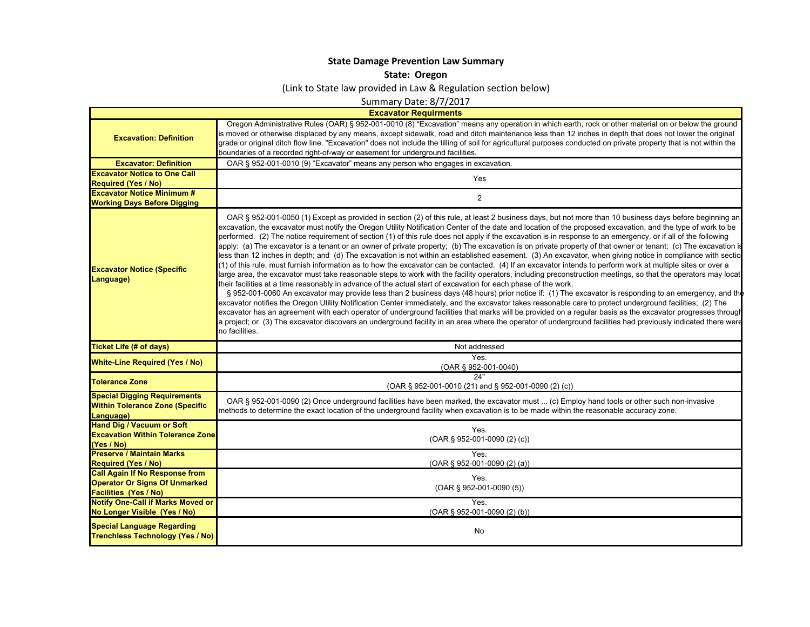## **State Damage Prevention Law Summary**

**State: Oregon**

(Link to State law provided in Law & Regulation section below)

Summary Date: 8/7/2017

|                                                                                                               | <b>Excavator Requirments</b>                                                                                                                                                                                                                                                                                                                                                                                                                                                                                                                                                                                                                                                                                                                                                                                                                                                                                                                                                                                                                                                                                                                                                                                                                                                                                                                                                                                                                                                                                                                                                                                                                                                                                                                                                                                                                                                                                                                       |
|---------------------------------------------------------------------------------------------------------------|----------------------------------------------------------------------------------------------------------------------------------------------------------------------------------------------------------------------------------------------------------------------------------------------------------------------------------------------------------------------------------------------------------------------------------------------------------------------------------------------------------------------------------------------------------------------------------------------------------------------------------------------------------------------------------------------------------------------------------------------------------------------------------------------------------------------------------------------------------------------------------------------------------------------------------------------------------------------------------------------------------------------------------------------------------------------------------------------------------------------------------------------------------------------------------------------------------------------------------------------------------------------------------------------------------------------------------------------------------------------------------------------------------------------------------------------------------------------------------------------------------------------------------------------------------------------------------------------------------------------------------------------------------------------------------------------------------------------------------------------------------------------------------------------------------------------------------------------------------------------------------------------------------------------------------------------------|
| <b>Excavation: Definition</b>                                                                                 | Oregon Administrative Rules (OAR) § 952-001-0010 (8) "Excavation" means any operation in which earth, rock or other material on or below the ground<br>is moved or otherwise displaced by any means, except sidewalk, road and ditch maintenance less than 12 inches in depth that does not lower the original<br>grade or original ditch flow line. "Excavation" does not include the tilling of soil for agricultural purposes conducted on private property that is not within the<br>boundaries of a recorded right-of-way or easement for underground facilities.                                                                                                                                                                                                                                                                                                                                                                                                                                                                                                                                                                                                                                                                                                                                                                                                                                                                                                                                                                                                                                                                                                                                                                                                                                                                                                                                                                             |
| <b>Excavator: Definition</b>                                                                                  | OAR § 952-001-0010 (9) "Excavator" means any person who engages in excavation.                                                                                                                                                                                                                                                                                                                                                                                                                                                                                                                                                                                                                                                                                                                                                                                                                                                                                                                                                                                                                                                                                                                                                                                                                                                                                                                                                                                                                                                                                                                                                                                                                                                                                                                                                                                                                                                                     |
| <b>Excavator Notice to One Call</b>                                                                           | Yes                                                                                                                                                                                                                                                                                                                                                                                                                                                                                                                                                                                                                                                                                                                                                                                                                                                                                                                                                                                                                                                                                                                                                                                                                                                                                                                                                                                                                                                                                                                                                                                                                                                                                                                                                                                                                                                                                                                                                |
| <b>Required (Yes / No)</b>                                                                                    |                                                                                                                                                                                                                                                                                                                                                                                                                                                                                                                                                                                                                                                                                                                                                                                                                                                                                                                                                                                                                                                                                                                                                                                                                                                                                                                                                                                                                                                                                                                                                                                                                                                                                                                                                                                                                                                                                                                                                    |
| <b>Excavator Notice Minimum #</b>                                                                             | $\overline{2}$                                                                                                                                                                                                                                                                                                                                                                                                                                                                                                                                                                                                                                                                                                                                                                                                                                                                                                                                                                                                                                                                                                                                                                                                                                                                                                                                                                                                                                                                                                                                                                                                                                                                                                                                                                                                                                                                                                                                     |
| <b>Working Days Before Digging</b>                                                                            |                                                                                                                                                                                                                                                                                                                                                                                                                                                                                                                                                                                                                                                                                                                                                                                                                                                                                                                                                                                                                                                                                                                                                                                                                                                                                                                                                                                                                                                                                                                                                                                                                                                                                                                                                                                                                                                                                                                                                    |
| <b>Excavator Notice (Specific</b><br>Language)                                                                | OAR § 952-001-0050 (1) Except as provided in section (2) of this rule, at least 2 business days, but not more than 10 business days before beginning an<br>excavation, the excavator must notify the Oregon Utility Notification Center of the date and location of the proposed excavation, and the type of work to be<br>performed. (2) The notice requirement of section (1) of this rule does not apply if the excavation is in response to an emergency, or if all of the following<br>apply: (a) The excavator is a tenant or an owner of private property; (b) The excavation is on private property of that owner or tenant; (c) The excavation is<br>less than 12 inches in depth; and (d) The excavation is not within an established easement. (3) An excavator, when giving notice in compliance with sectio<br>(1) of this rule, must furnish information as to how the excavator can be contacted. (4) If an excavator intends to perform work at multiple sites or over a<br>large area, the excavator must take reasonable steps to work with the facility operators, including preconstruction meetings, so that the operators may locat<br>their facilities at a time reasonably in advance of the actual start of excavation for each phase of the work.<br>§ 952-001-0060 An excavator may provide less than 2 business days (48 hours) prior notice if: (1) The excavator is responding to an emergency, and th<br>excavator notifies the Oregon Utility Notification Center immediately, and the excavator takes reasonable care to protect underground facilities; (2) The<br>excavator has an agreement with each operator of underground facilities that marks will be provided on a regular basis as the excavator progresses through<br>a project; or (3) The excavator discovers an underground facility in an area where the operator of underground facilities had previously indicated there were<br>no facilities. |
| <b>Ticket Life (# of days)</b>                                                                                | Not addressed                                                                                                                                                                                                                                                                                                                                                                                                                                                                                                                                                                                                                                                                                                                                                                                                                                                                                                                                                                                                                                                                                                                                                                                                                                                                                                                                                                                                                                                                                                                                                                                                                                                                                                                                                                                                                                                                                                                                      |
| <b>White-Line Required (Yes / No)</b>                                                                         | <b>Yes</b><br>(OAR § 952-001-0040)                                                                                                                                                                                                                                                                                                                                                                                                                                                                                                                                                                                                                                                                                                                                                                                                                                                                                                                                                                                                                                                                                                                                                                                                                                                                                                                                                                                                                                                                                                                                                                                                                                                                                                                                                                                                                                                                                                                 |
| <b>Tolerance Zone</b>                                                                                         | 24"<br>(OAR § 952-001-0010 (21) and § 952-001-0090 (2) (c))                                                                                                                                                                                                                                                                                                                                                                                                                                                                                                                                                                                                                                                                                                                                                                                                                                                                                                                                                                                                                                                                                                                                                                                                                                                                                                                                                                                                                                                                                                                                                                                                                                                                                                                                                                                                                                                                                        |
| <b>Special Digging Requirements</b><br><b>Within Tolerance Zone (Specific</b><br>Language)                    | OAR § 952-001-0090 (2) Once underground facilities have been marked, the excavator must  (c) Employ hand tools or other such non-invasive<br>methods to determine the exact location of the underground facility when excavation is to be made within the reasonable accuracy zone.                                                                                                                                                                                                                                                                                                                                                                                                                                                                                                                                                                                                                                                                                                                                                                                                                                                                                                                                                                                                                                                                                                                                                                                                                                                                                                                                                                                                                                                                                                                                                                                                                                                                |
| <b>Hand Dig / Vacuum or Soft</b><br><b>Excavation Within Tolerance Zone</b><br>(Yes / No)                     | Yes.<br>$(OAR \S 952-001-0090 (2) (c))$                                                                                                                                                                                                                                                                                                                                                                                                                                                                                                                                                                                                                                                                                                                                                                                                                                                                                                                                                                                                                                                                                                                                                                                                                                                                                                                                                                                                                                                                                                                                                                                                                                                                                                                                                                                                                                                                                                            |
| <b>Preserve / Maintain Marks</b>                                                                              | Yes.                                                                                                                                                                                                                                                                                                                                                                                                                                                                                                                                                                                                                                                                                                                                                                                                                                                                                                                                                                                                                                                                                                                                                                                                                                                                                                                                                                                                                                                                                                                                                                                                                                                                                                                                                                                                                                                                                                                                               |
| <b>Required (Yes / No)</b>                                                                                    | (OAR § 952-001-0090 (2) (a))                                                                                                                                                                                                                                                                                                                                                                                                                                                                                                                                                                                                                                                                                                                                                                                                                                                                                                                                                                                                                                                                                                                                                                                                                                                                                                                                                                                                                                                                                                                                                                                                                                                                                                                                                                                                                                                                                                                       |
| <b>Call Again If No Response from</b><br><b>Operator Or Signs Of Unmarked</b><br><b>Facilities (Yes / No)</b> | Yes.<br>(OAR § 952-001-0090 (5))                                                                                                                                                                                                                                                                                                                                                                                                                                                                                                                                                                                                                                                                                                                                                                                                                                                                                                                                                                                                                                                                                                                                                                                                                                                                                                                                                                                                                                                                                                                                                                                                                                                                                                                                                                                                                                                                                                                   |
| <b>Notify One-Call if Marks Moved or</b><br>No Longer Visible (Yes / No)                                      | <b>Yes</b><br>(OAR § 952-001-0090 (2) (b))                                                                                                                                                                                                                                                                                                                                                                                                                                                                                                                                                                                                                                                                                                                                                                                                                                                                                                                                                                                                                                                                                                                                                                                                                                                                                                                                                                                                                                                                                                                                                                                                                                                                                                                                                                                                                                                                                                         |
| <b>Special Language Regarding</b><br><b>Trenchless Technology (Yes / No)</b>                                  | No                                                                                                                                                                                                                                                                                                                                                                                                                                                                                                                                                                                                                                                                                                                                                                                                                                                                                                                                                                                                                                                                                                                                                                                                                                                                                                                                                                                                                                                                                                                                                                                                                                                                                                                                                                                                                                                                                                                                                 |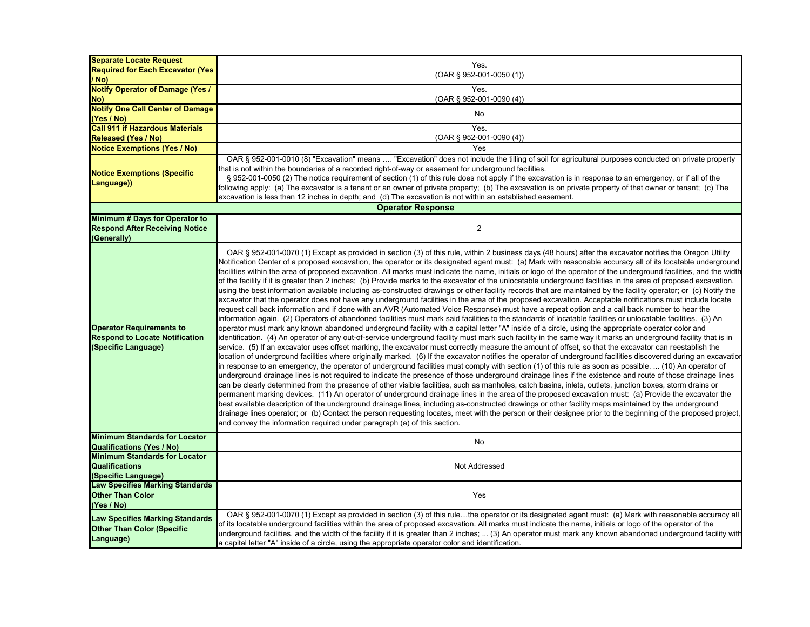| <b>Separate Locate Request</b><br><b>Required for Each Excavator (Yes)</b>                      | Yes.<br>$(OAR$ § 952-001-0050 (1))                                                                                                                                                                                                                                                                                                                                                                                                                                                                                                                                                                                                                                                                                                                                                                                                                                                                                                                                                                                                                                                                                                                                                                                                                                                                                                                                                                                                                                                                                                                                                                                                                                                                                                                                                                                                                                                                                                                                                                                                                                                                                                                                                                                                                                                                                                                                                                                                                                                                                                                                                                                                                                                                                                                                                                                                                                                                                                                                                                                            |
|-------------------------------------------------------------------------------------------------|-------------------------------------------------------------------------------------------------------------------------------------------------------------------------------------------------------------------------------------------------------------------------------------------------------------------------------------------------------------------------------------------------------------------------------------------------------------------------------------------------------------------------------------------------------------------------------------------------------------------------------------------------------------------------------------------------------------------------------------------------------------------------------------------------------------------------------------------------------------------------------------------------------------------------------------------------------------------------------------------------------------------------------------------------------------------------------------------------------------------------------------------------------------------------------------------------------------------------------------------------------------------------------------------------------------------------------------------------------------------------------------------------------------------------------------------------------------------------------------------------------------------------------------------------------------------------------------------------------------------------------------------------------------------------------------------------------------------------------------------------------------------------------------------------------------------------------------------------------------------------------------------------------------------------------------------------------------------------------------------------------------------------------------------------------------------------------------------------------------------------------------------------------------------------------------------------------------------------------------------------------------------------------------------------------------------------------------------------------------------------------------------------------------------------------------------------------------------------------------------------------------------------------------------------------------------------------------------------------------------------------------------------------------------------------------------------------------------------------------------------------------------------------------------------------------------------------------------------------------------------------------------------------------------------------------------------------------------------------------------------------------------------------|
| / No)                                                                                           |                                                                                                                                                                                                                                                                                                                                                                                                                                                                                                                                                                                                                                                                                                                                                                                                                                                                                                                                                                                                                                                                                                                                                                                                                                                                                                                                                                                                                                                                                                                                                                                                                                                                                                                                                                                                                                                                                                                                                                                                                                                                                                                                                                                                                                                                                                                                                                                                                                                                                                                                                                                                                                                                                                                                                                                                                                                                                                                                                                                                                               |
| <b>Notify Operator of Damage (Yes /</b>                                                         | Yes.                                                                                                                                                                                                                                                                                                                                                                                                                                                                                                                                                                                                                                                                                                                                                                                                                                                                                                                                                                                                                                                                                                                                                                                                                                                                                                                                                                                                                                                                                                                                                                                                                                                                                                                                                                                                                                                                                                                                                                                                                                                                                                                                                                                                                                                                                                                                                                                                                                                                                                                                                                                                                                                                                                                                                                                                                                                                                                                                                                                                                          |
| No)                                                                                             | $(OAR \S 952-001-0090(4))$                                                                                                                                                                                                                                                                                                                                                                                                                                                                                                                                                                                                                                                                                                                                                                                                                                                                                                                                                                                                                                                                                                                                                                                                                                                                                                                                                                                                                                                                                                                                                                                                                                                                                                                                                                                                                                                                                                                                                                                                                                                                                                                                                                                                                                                                                                                                                                                                                                                                                                                                                                                                                                                                                                                                                                                                                                                                                                                                                                                                    |
| <b>Notify One Call Center of Damage</b>                                                         | No                                                                                                                                                                                                                                                                                                                                                                                                                                                                                                                                                                                                                                                                                                                                                                                                                                                                                                                                                                                                                                                                                                                                                                                                                                                                                                                                                                                                                                                                                                                                                                                                                                                                                                                                                                                                                                                                                                                                                                                                                                                                                                                                                                                                                                                                                                                                                                                                                                                                                                                                                                                                                                                                                                                                                                                                                                                                                                                                                                                                                            |
| (Yes / No)                                                                                      |                                                                                                                                                                                                                                                                                                                                                                                                                                                                                                                                                                                                                                                                                                                                                                                                                                                                                                                                                                                                                                                                                                                                                                                                                                                                                                                                                                                                                                                                                                                                                                                                                                                                                                                                                                                                                                                                                                                                                                                                                                                                                                                                                                                                                                                                                                                                                                                                                                                                                                                                                                                                                                                                                                                                                                                                                                                                                                                                                                                                                               |
| <b>Call 911 if Hazardous Materials</b>                                                          | Yes.                                                                                                                                                                                                                                                                                                                                                                                                                                                                                                                                                                                                                                                                                                                                                                                                                                                                                                                                                                                                                                                                                                                                                                                                                                                                                                                                                                                                                                                                                                                                                                                                                                                                                                                                                                                                                                                                                                                                                                                                                                                                                                                                                                                                                                                                                                                                                                                                                                                                                                                                                                                                                                                                                                                                                                                                                                                                                                                                                                                                                          |
| <b>Released (Yes / No)</b>                                                                      | $(OAR \S 952-001-0090(4))$<br>Yes                                                                                                                                                                                                                                                                                                                                                                                                                                                                                                                                                                                                                                                                                                                                                                                                                                                                                                                                                                                                                                                                                                                                                                                                                                                                                                                                                                                                                                                                                                                                                                                                                                                                                                                                                                                                                                                                                                                                                                                                                                                                                                                                                                                                                                                                                                                                                                                                                                                                                                                                                                                                                                                                                                                                                                                                                                                                                                                                                                                             |
| <b>Notice Exemptions (Yes / No)</b>                                                             | OAR § 952-001-0010 (8) "Excavation" means  "Excavation" does not include the tilling of soil for agricultural purposes conducted on private property                                                                                                                                                                                                                                                                                                                                                                                                                                                                                                                                                                                                                                                                                                                                                                                                                                                                                                                                                                                                                                                                                                                                                                                                                                                                                                                                                                                                                                                                                                                                                                                                                                                                                                                                                                                                                                                                                                                                                                                                                                                                                                                                                                                                                                                                                                                                                                                                                                                                                                                                                                                                                                                                                                                                                                                                                                                                          |
| <b>Notice Exemptions (Specific</b><br>Language))                                                | that is not within the boundaries of a recorded right-of-way or easement for underground facilities.<br>§ 952-001-0050 (2) The notice requirement of section (1) of this rule does not apply if the excavation is in response to an emergency, or if all of the<br>following apply: (a) The excavator is a tenant or an owner of private property; (b) The excavation is on private property of that owner or tenant; (c) The<br>excavation is less than 12 inches in depth; and (d) The excavation is not within an established easement.                                                                                                                                                                                                                                                                                                                                                                                                                                                                                                                                                                                                                                                                                                                                                                                                                                                                                                                                                                                                                                                                                                                                                                                                                                                                                                                                                                                                                                                                                                                                                                                                                                                                                                                                                                                                                                                                                                                                                                                                                                                                                                                                                                                                                                                                                                                                                                                                                                                                                    |
|                                                                                                 | <b>Operator Response</b>                                                                                                                                                                                                                                                                                                                                                                                                                                                                                                                                                                                                                                                                                                                                                                                                                                                                                                                                                                                                                                                                                                                                                                                                                                                                                                                                                                                                                                                                                                                                                                                                                                                                                                                                                                                                                                                                                                                                                                                                                                                                                                                                                                                                                                                                                                                                                                                                                                                                                                                                                                                                                                                                                                                                                                                                                                                                                                                                                                                                      |
| Minimum # Days for Operator to<br><b>Respond After Receiving Notice</b><br>(Generally)          | $\overline{c}$                                                                                                                                                                                                                                                                                                                                                                                                                                                                                                                                                                                                                                                                                                                                                                                                                                                                                                                                                                                                                                                                                                                                                                                                                                                                                                                                                                                                                                                                                                                                                                                                                                                                                                                                                                                                                                                                                                                                                                                                                                                                                                                                                                                                                                                                                                                                                                                                                                                                                                                                                                                                                                                                                                                                                                                                                                                                                                                                                                                                                |
| <b>Operator Requirements to</b><br><b>Respond to Locate Notification</b><br>(Specific Language) | OAR § 952-001-0070 (1) Except as provided in section (3) of this rule, within 2 business days (48 hours) after the excavator notifies the Oregon Utility<br>Notification Center of a proposed excavation, the operator or its designated agent must: (a) Mark with reasonable accuracy all of its locatable underground<br>facilities within the area of proposed excavation. All marks must indicate the name, initials or logo of the operator of the underground facilities, and the width<br>of the facility if it is greater than 2 inches; (b) Provide marks to the excavator of the unlocatable underground facilities in the area of proposed excavation,<br>using the best information available including as-constructed drawings or other facility records that are maintained by the facility operator; or (c) Notify the<br>excavator that the operator does not have any underground facilities in the area of the proposed excavation. Acceptable notifications must include locate<br>request call back information and if done with an AVR (Automated Voice Response) must have a repeat option and a call back number to hear the<br>information again. (2) Operators of abandoned facilities must mark said facilities to the standards of locatable facilities or unlocatable facilities. (3) An<br>operator must mark any known abandoned underground facility with a capital letter "A" inside of a circle, using the appropriate operator color and<br>identification. (4) An operator of any out-of-service underground facility must mark such facility in the same way it marks an underground facility that is in<br>service. (5) If an excavator uses offset marking, the excavator must correctly measure the amount of offset, so that the excavator can reestablish the<br>location of underground facilities where originally marked. (6) If the excavator notifies the operator of underground facilities discovered during an excavatior<br>in response to an emergency, the operator of underground facilities must comply with section (1) of this rule as soon as possible.  (10) An operator of<br>underground drainage lines is not required to indicate the presence of those underground drainage lines if the existence and route of those drainage lines<br>can be clearly determined from the presence of other visible facilities, such as manholes, catch basins, inlets, outlets, junction boxes, storm drains or<br>permanent marking devices. (11) An operator of underground drainage lines in the area of the proposed excavation must: (a) Provide the excavator the<br>best available description of the underground drainage lines, including as-constructed drawings or other facility maps maintained by the underground<br>drainage lines operator; or (b) Contact the person requesting locates, meet with the person or their designee prior to the beginning of the proposed project,<br>and convey the information required under paragraph (a) of this section. |
| <b>Minimum Standards for Locator</b><br><b>Qualifications (Yes / No)</b>                        | No                                                                                                                                                                                                                                                                                                                                                                                                                                                                                                                                                                                                                                                                                                                                                                                                                                                                                                                                                                                                                                                                                                                                                                                                                                                                                                                                                                                                                                                                                                                                                                                                                                                                                                                                                                                                                                                                                                                                                                                                                                                                                                                                                                                                                                                                                                                                                                                                                                                                                                                                                                                                                                                                                                                                                                                                                                                                                                                                                                                                                            |
| <b>Minimum Standards for Locator</b><br><b>Qualifications</b><br>(Specific Language)            | Not Addressed                                                                                                                                                                                                                                                                                                                                                                                                                                                                                                                                                                                                                                                                                                                                                                                                                                                                                                                                                                                                                                                                                                                                                                                                                                                                                                                                                                                                                                                                                                                                                                                                                                                                                                                                                                                                                                                                                                                                                                                                                                                                                                                                                                                                                                                                                                                                                                                                                                                                                                                                                                                                                                                                                                                                                                                                                                                                                                                                                                                                                 |
| <b>Law Specifies Marking Standards</b><br><b>Other Than Color</b><br>(Yes / No)                 | Yes                                                                                                                                                                                                                                                                                                                                                                                                                                                                                                                                                                                                                                                                                                                                                                                                                                                                                                                                                                                                                                                                                                                                                                                                                                                                                                                                                                                                                                                                                                                                                                                                                                                                                                                                                                                                                                                                                                                                                                                                                                                                                                                                                                                                                                                                                                                                                                                                                                                                                                                                                                                                                                                                                                                                                                                                                                                                                                                                                                                                                           |
| <b>Law Specifies Marking Standards</b><br><b>Other Than Color (Specific</b><br>Language)        | OAR § 952-001-0070 (1) Except as provided in section (3) of this rulethe operator or its designated agent must: (a) Mark with reasonable accuracy all<br>of its locatable underground facilities within the area of proposed excavation. All marks must indicate the name, initials or logo of the operator of the<br>underground facilities, and the width of the facility if it is greater than 2 inches;  (3) An operator must mark any known abandoned underground facility with<br>a capital letter "A" inside of a circle, using the appropriate operator color and identification.                                                                                                                                                                                                                                                                                                                                                                                                                                                                                                                                                                                                                                                                                                                                                                                                                                                                                                                                                                                                                                                                                                                                                                                                                                                                                                                                                                                                                                                                                                                                                                                                                                                                                                                                                                                                                                                                                                                                                                                                                                                                                                                                                                                                                                                                                                                                                                                                                                     |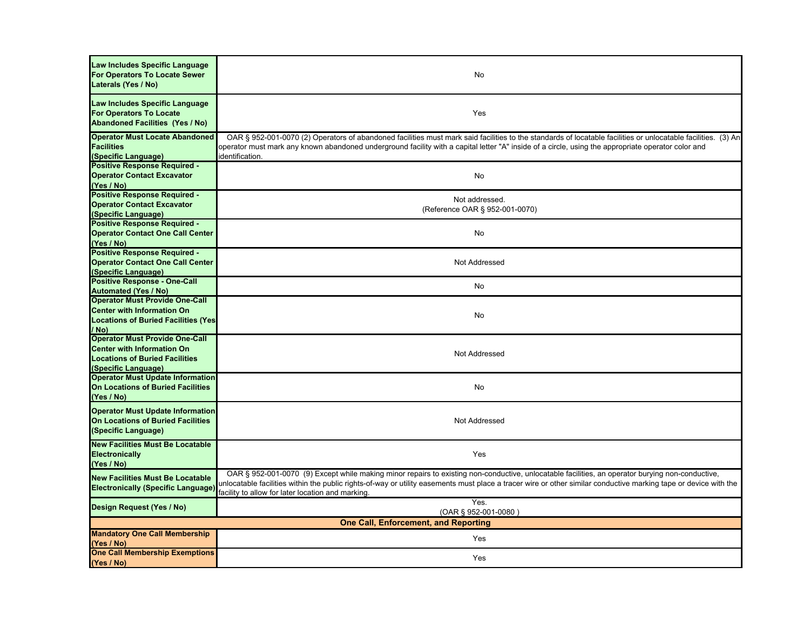| Law Includes Specific Language<br>For Operators To Locate Sewer<br>Laterals (Yes / No)                                                     | No                                                                                                                                                                                                                                                                                                                                                                       |
|--------------------------------------------------------------------------------------------------------------------------------------------|--------------------------------------------------------------------------------------------------------------------------------------------------------------------------------------------------------------------------------------------------------------------------------------------------------------------------------------------------------------------------|
| Law Includes Specific Language<br><b>For Operators To Locate</b><br><b>Abandoned Facilities (Yes / No)</b>                                 | Yes                                                                                                                                                                                                                                                                                                                                                                      |
| <b>Operator Must Locate Abandoned</b><br><b>Facilities</b><br>(Specific Language)                                                          | OAR § 952-001-0070 (2) Operators of abandoned facilities must mark said facilities to the standards of locatable facilities or unlocatable facilities. (3) An<br>operator must mark any known abandoned underground facility with a capital letter "A" inside of a circle, using the appropriate operator color and<br>identification.                                   |
| <b>Positive Response Required -</b><br><b>Operator Contact Excavator</b><br>(Yes / No)                                                     | No                                                                                                                                                                                                                                                                                                                                                                       |
| <b>Positive Response Required -</b><br><b>Operator Contact Excavator</b><br>(Specific Language)                                            | Not addressed.<br>(Reference OAR § 952-001-0070)                                                                                                                                                                                                                                                                                                                         |
| <b>Positive Response Required -</b><br><b>Operator Contact One Call Center</b><br>(Yes / No)                                               | No                                                                                                                                                                                                                                                                                                                                                                       |
| <b>Positive Response Required -</b><br><b>Operator Contact One Call Center</b><br>(Specific Language)                                      | Not Addressed                                                                                                                                                                                                                                                                                                                                                            |
| <b>Positive Response - One-Call</b><br><b>Automated (Yes / No)</b>                                                                         | No                                                                                                                                                                                                                                                                                                                                                                       |
| <b>Operator Must Provide One-Call</b><br><b>Center with Information On</b><br><b>Locations of Buried Facilities (Yes)</b><br>/ No)         | No                                                                                                                                                                                                                                                                                                                                                                       |
| <b>Operator Must Provide One-Call</b><br><b>Center with Information On</b><br><b>Locations of Buried Facilities</b><br>(Specific Language) | Not Addressed                                                                                                                                                                                                                                                                                                                                                            |
| <b>Operator Must Update Information</b><br><b>On Locations of Buried Facilities</b><br>(Yes / No)                                          | No                                                                                                                                                                                                                                                                                                                                                                       |
| <b>Operator Must Update Information</b><br><b>On Locations of Buried Facilities</b><br>(Specific Language)                                 | Not Addressed                                                                                                                                                                                                                                                                                                                                                            |
| <b>New Facilities Must Be Locatable</b><br>Electronically<br>(Yes / No)                                                                    | Yes                                                                                                                                                                                                                                                                                                                                                                      |
| <b>New Facilities Must Be Locatable</b><br><b>Electronically (Specific Language)</b>                                                       | OAR § 952-001-0070 (9) Except while making minor repairs to existing non-conductive, unlocatable facilities, an operator burying non-conductive,<br>unlocatable facilities within the public rights-of-way or utility easements must place a tracer wire or other similar conductive marking tape or device with the<br>acility to allow for later location and marking. |
| Design Request (Yes / No)                                                                                                                  | Yes.<br>(OAR § 952-001-0080)                                                                                                                                                                                                                                                                                                                                             |
| <b>One Call, Enforcement, and Reporting</b>                                                                                                |                                                                                                                                                                                                                                                                                                                                                                          |
| <b>Mandatory One Call Membership</b><br>(Yes / No)<br><b>One Call Membership Exemptions</b>                                                | Yes                                                                                                                                                                                                                                                                                                                                                                      |
| (Yes / No)                                                                                                                                 | Yes                                                                                                                                                                                                                                                                                                                                                                      |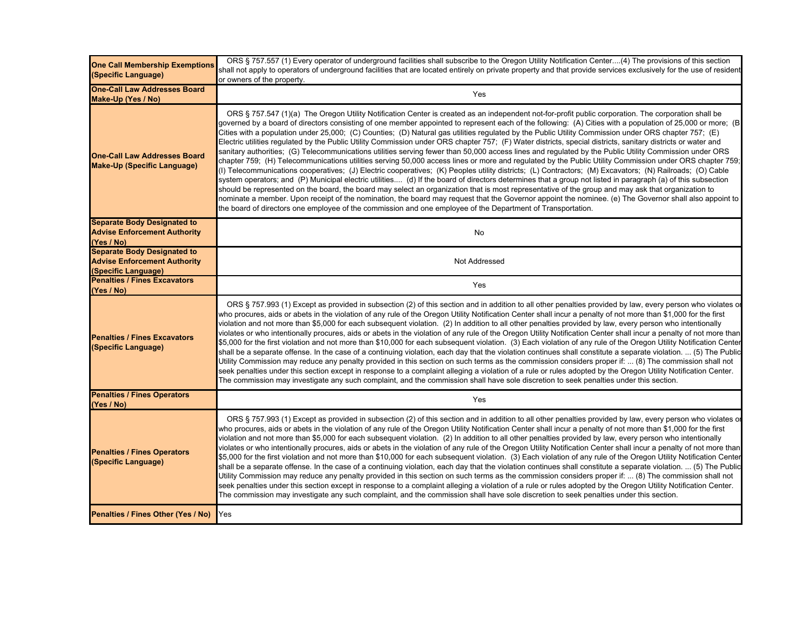| <b>One Call Membership Exemptions</b><br>(Specific Language)                                     | ORS § 757.557 (1) Every operator of underground facilities shall subscribe to the Oregon Utility Notification Center(4) The provisions of this section<br>shall not apply to operators of underground facilities that are located entirely on private property and that provide services exclusively for the use of resident<br>or owners of the property.                                                                                                                                                                                                                                                                                                                                                                                                                                                                                                                                                                                                                                                                                                                                                                                                                                                                                                                                                                                                                                                                                                                                                                                                                                                                                                                                                                |
|--------------------------------------------------------------------------------------------------|---------------------------------------------------------------------------------------------------------------------------------------------------------------------------------------------------------------------------------------------------------------------------------------------------------------------------------------------------------------------------------------------------------------------------------------------------------------------------------------------------------------------------------------------------------------------------------------------------------------------------------------------------------------------------------------------------------------------------------------------------------------------------------------------------------------------------------------------------------------------------------------------------------------------------------------------------------------------------------------------------------------------------------------------------------------------------------------------------------------------------------------------------------------------------------------------------------------------------------------------------------------------------------------------------------------------------------------------------------------------------------------------------------------------------------------------------------------------------------------------------------------------------------------------------------------------------------------------------------------------------------------------------------------------------------------------------------------------------|
| <b>One-Call Law Addresses Board</b><br>Make-Up (Yes / No)                                        | Yes                                                                                                                                                                                                                                                                                                                                                                                                                                                                                                                                                                                                                                                                                                                                                                                                                                                                                                                                                                                                                                                                                                                                                                                                                                                                                                                                                                                                                                                                                                                                                                                                                                                                                                                       |
| <b>One-Call Law Addresses Board</b><br><b>Make-Up (Specific Language)</b>                        | ORS § 757.547 (1)(a) The Oregon Utility Notification Center is created as an independent not-for-profit public corporation. The corporation shall be<br>governed by a board of directors consisting of one member appointed to represent each of the following: (A) Cities with a population of 25,000 or more; (B<br>Cities with a population under 25,000; (C) Counties; (D) Natural gas utilities regulated by the Public Utility Commission under ORS chapter 757; (E)<br>Electric utilities regulated by the Public Utility Commission under ORS chapter 757; (F) Water districts, special districts, sanitary districts or water and<br>sanitary authorities; (G) Telecommunications utilities serving fewer than 50,000 access lines and regulated by the Public Utility Commission under ORS<br>chapter 759; (H) Telecommunications utilities serving 50,000 access lines or more and regulated by the Public Utility Commission under ORS chapter 759;<br>(I) Telecommunications cooperatives; (J) Electric cooperatives; (K) Peoples utility districts; (L) Contractors; (M) Excavators; (N) Railroads; (O) Cable<br>system operators; and (P) Municipal electric utilities (d) If the board of directors determines that a group not listed in paragraph (a) of this subsection<br>should be represented on the board, the board may select an organization that is most representative of the group and may ask that organization to<br>nominate a member. Upon receipt of the nomination, the board may request that the Governor appoint the nominee. (e) The Governor shall also appoint to<br>the board of directors one employee of the commission and one employee of the Department of Transportation. |
| <b>Separate Body Designated to</b><br><b>Advise Enforcement Authority</b><br>(Yes / No)          | No                                                                                                                                                                                                                                                                                                                                                                                                                                                                                                                                                                                                                                                                                                                                                                                                                                                                                                                                                                                                                                                                                                                                                                                                                                                                                                                                                                                                                                                                                                                                                                                                                                                                                                                        |
| <b>Separate Body Designated to</b><br><b>Advise Enforcement Authority</b><br>(Specific Language) | Not Addressed                                                                                                                                                                                                                                                                                                                                                                                                                                                                                                                                                                                                                                                                                                                                                                                                                                                                                                                                                                                                                                                                                                                                                                                                                                                                                                                                                                                                                                                                                                                                                                                                                                                                                                             |
| <b>Penalties / Fines Excavators</b><br>(Yes / No)                                                | Yes                                                                                                                                                                                                                                                                                                                                                                                                                                                                                                                                                                                                                                                                                                                                                                                                                                                                                                                                                                                                                                                                                                                                                                                                                                                                                                                                                                                                                                                                                                                                                                                                                                                                                                                       |
| <b>Penalties / Fines Excavators</b><br>(Specific Language)                                       | ORS § 757.993 (1) Except as provided in subsection (2) of this section and in addition to all other penalties provided by law, every person who violates o<br>who procures, aids or abets in the violation of any rule of the Oregon Utility Notification Center shall incur a penalty of not more than \$1,000 for the first<br>violation and not more than \$5,000 for each subsequent violation. (2) In addition to all other penalties provided by law, every person who intentionally<br>violates or who intentionally procures, aids or abets in the violation of any rule of the Oregon Utility Notification Center shall incur a penalty of not more than<br>\$5,000 for the first violation and not more than \$10,000 for each subsequent violation. (3) Each violation of any rule of the Oregon Utility Notification Center<br>shall be a separate offense. In the case of a continuing violation, each day that the violation continues shall constitute a separate violation.  (5) The Public<br>Utility Commission may reduce any penalty provided in this section on such terms as the commission considers proper if:  (8) The commission shall not<br>seek penalties under this section except in response to a complaint alleging a violation of a rule or rules adopted by the Oregon Utility Notification Center.<br>The commission may investigate any such complaint, and the commission shall have sole discretion to seek penalties under this section.                                                                                                                                                                                                                                          |
| <b>Penalties / Fines Operators</b><br>(Yes / No)                                                 | Yes                                                                                                                                                                                                                                                                                                                                                                                                                                                                                                                                                                                                                                                                                                                                                                                                                                                                                                                                                                                                                                                                                                                                                                                                                                                                                                                                                                                                                                                                                                                                                                                                                                                                                                                       |
| <b>Penalties / Fines Operators</b><br>(Specific Language)                                        | ORS § 757.993 (1) Except as provided in subsection (2) of this section and in addition to all other penalties provided by law, every person who violates or<br>who procures, aids or abets in the violation of any rule of the Oregon Utility Notification Center shall incur a penalty of not more than \$1,000 for the first<br>violation and not more than \$5,000 for each subsequent violation. (2) In addition to all other penalties provided by law, every person who intentionally<br>violates or who intentionally procures, aids or abets in the violation of any rule of the Oregon Utility Notification Center shall incur a penalty of not more than<br>\$5,000 for the first violation and not more than \$10,000 for each subsequent violation. (3) Each violation of any rule of the Oregon Utility Notification Center<br>shall be a separate offense. In the case of a continuing violation, each day that the violation continues shall constitute a separate violation.  (5) The Public<br>Utility Commission may reduce any penalty provided in this section on such terms as the commission considers proper if:  (8) The commission shall not<br>seek penalties under this section except in response to a complaint alleging a violation of a rule or rules adopted by the Oregon Utility Notification Center.<br>The commission may investigate any such complaint, and the commission shall have sole discretion to seek penalties under this section.                                                                                                                                                                                                                                         |
| Penalties / Fines Other (Yes / No)                                                               | Yes                                                                                                                                                                                                                                                                                                                                                                                                                                                                                                                                                                                                                                                                                                                                                                                                                                                                                                                                                                                                                                                                                                                                                                                                                                                                                                                                                                                                                                                                                                                                                                                                                                                                                                                       |